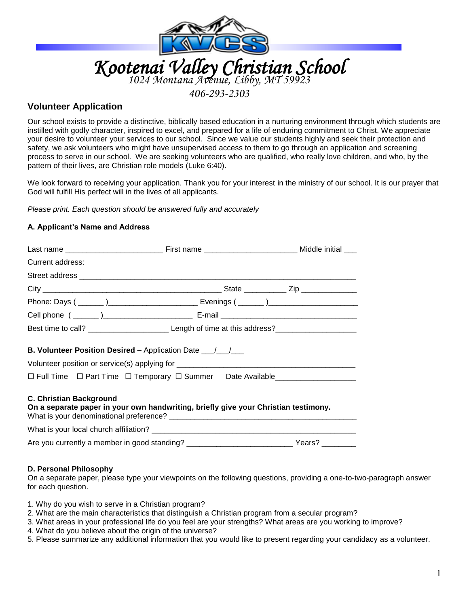

## *406-293-2303*

# **Volunteer Application**

Our school exists to provide a distinctive, biblically based education in a nurturing environment through which students are instilled with godly character, inspired to excel, and prepared for a life of enduring commitment to Christ. We appreciate your desire to volunteer your services to our school. Since we value our students highly and seek their protection and safety, we ask volunteers who might have unsupervised access to them to go through an application and screening process to serve in our school. We are seeking volunteers who are qualified, who really love children, and who, by the pattern of their lives, are Christian role models (Luke 6:40).

We look forward to receiving your application. Thank you for your interest in the ministry of our school. It is our prayer that God will fulfill His perfect will in the lives of all applicants.

*Please print. Each question should be answered fully and accurately*

#### **A. Applicant's Name and Address**

| Current address:                                                                                                                                                                                                                                               |  |                                                    |  |  |  |
|----------------------------------------------------------------------------------------------------------------------------------------------------------------------------------------------------------------------------------------------------------------|--|----------------------------------------------------|--|--|--|
|                                                                                                                                                                                                                                                                |  |                                                    |  |  |  |
|                                                                                                                                                                                                                                                                |  |                                                    |  |  |  |
|                                                                                                                                                                                                                                                                |  |                                                    |  |  |  |
|                                                                                                                                                                                                                                                                |  |                                                    |  |  |  |
|                                                                                                                                                                                                                                                                |  | Best time to call? Length of time at this address? |  |  |  |
| <b>B. Volunteer Position Desired –</b> Application Date _______________________________<br>Volunteer position or service(s) applying for __________________________________<br>□ Full Time □ Part Time □ Temporary □ Summer Date Available____________________ |  |                                                    |  |  |  |
|                                                                                                                                                                                                                                                                |  |                                                    |  |  |  |
| <b>C. Christian Background</b><br>On a separate paper in your own handwriting, briefly give your Christian testimony.                                                                                                                                          |  |                                                    |  |  |  |
| Are you currently a member in good standing? _________________________________Years? _______________                                                                                                                                                           |  |                                                    |  |  |  |
|                                                                                                                                                                                                                                                                |  |                                                    |  |  |  |

#### **D. Personal Philosophy**

On a separate paper, please type your viewpoints on the following questions, providing a one-to-two-paragraph answer for each question.

1. Why do you wish to serve in a Christian program?

- 2. What are the main characteristics that distinguish a Christian program from a secular program?
- 3. What areas in your professional life do you feel are your strengths? What areas are you working to improve?
- 4. What do you believe about the origin of the universe?
- 5. Please summarize any additional information that you would like to present regarding your candidacy as a volunteer.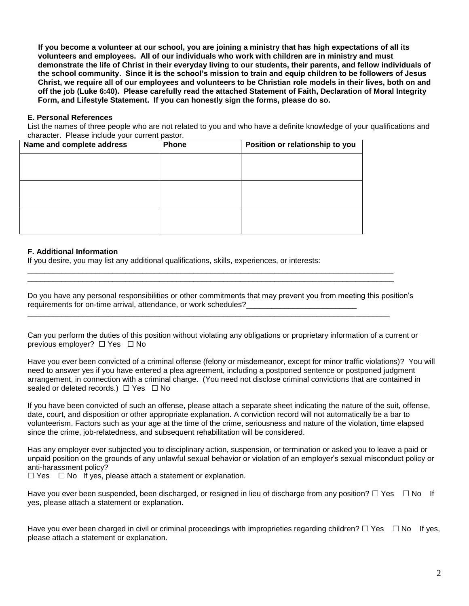**If you become a volunteer at our school, you are joining a ministry that has high expectations of all its volunteers and employees. All of our individuals who work with children are in ministry and must demonstrate the life of Christ in their everyday living to our students, their parents, and fellow individuals of the school community. Since it is the school's mission to train and equip children to be followers of Jesus Christ, we require all of our employees and volunteers to be Christian role models in their lives, both on and off the job (Luke 6:40). Please carefully read the attached Statement of Faith, Declaration of Moral Integrity Form, and Lifestyle Statement. If you can honestly sign the forms, please do so.**

#### **E. Personal References**

List the names of three people who are not related to you and who have a definite knowledge of your qualifications and character. Please include your current pastor.

| Name and complete address | <b>Phone</b> | Position or relationship to you |
|---------------------------|--------------|---------------------------------|
|                           |              |                                 |
|                           |              |                                 |
|                           |              |                                 |
|                           |              |                                 |
|                           |              |                                 |
|                           |              |                                 |

#### **F. Additional Information**

If you desire, you may list any additional qualifications, skills, experiences, or interests:

Do you have any personal responsibilities or other commitments that may prevent you from meeting this position's requirements for on-time arrival, attendance, or work schedules?

\_\_\_\_\_\_\_\_\_\_\_\_\_\_\_\_\_\_\_\_\_\_\_\_\_\_\_\_\_\_\_\_\_\_\_\_\_\_\_\_\_\_\_\_\_\_\_\_\_\_\_\_\_\_\_\_\_\_\_\_\_\_\_\_\_\_\_\_\_\_\_\_\_\_\_\_\_\_\_\_\_\_\_\_\_\_ \_\_\_\_\_\_\_\_\_\_\_\_\_\_\_\_\_\_\_\_\_\_\_\_\_\_\_\_\_\_\_\_\_\_\_\_\_\_\_\_\_\_\_\_\_\_\_\_\_\_\_\_\_\_\_\_\_\_\_\_\_\_\_\_\_\_\_\_\_\_\_\_\_\_\_\_\_\_\_\_\_\_\_\_\_\_

\_\_\_\_\_\_\_\_\_\_\_\_\_\_\_\_\_\_\_\_\_\_\_\_\_\_\_\_\_\_\_\_\_\_\_\_\_\_\_\_\_\_\_\_\_\_\_\_\_\_\_\_\_\_\_\_\_\_\_\_\_\_\_\_\_\_\_\_\_\_\_\_\_\_\_\_\_\_\_\_\_\_\_\_\_

Can you perform the duties of this position without violating any obligations or proprietary information of a current or previous employer?  $\Box$  Yes  $\Box$  No

Have you ever been convicted of a criminal offense (felony or misdemeanor, except for minor traffic violations)? You will need to answer yes if you have entered a plea agreement, including a postponed sentence or postponed judgment arrangement, in connection with a criminal charge. (You need not disclose criminal convictions that are contained in sealed or deleted records.)  $\Box$  Yes  $\Box$  No

If you have been convicted of such an offense, please attach a separate sheet indicating the nature of the suit, offense, date, court, and disposition or other appropriate explanation. A conviction record will not automatically be a bar to volunteerism. Factors such as your age at the time of the crime, seriousness and nature of the violation, time elapsed since the crime, job-relatedness, and subsequent rehabilitation will be considered.

Has any employer ever subjected you to disciplinary action, suspension, or termination or asked you to leave a paid or unpaid position on the grounds of any unlawful sexual behavior or violation of an employer's sexual misconduct policy or anti-harassment policy?

 $\Box$  Yes  $\Box$  No If yes, please attach a statement or explanation.

Have you ever been suspended, been discharged, or resigned in lieu of discharge from any position?  $\Box$  Yes  $\Box$  No If yes, please attach a statement or explanation.

Have you ever been charged in civil or criminal proceedings with improprieties regarding children?  $\Box$  Yes  $\Box$  No If yes, please attach a statement or explanation.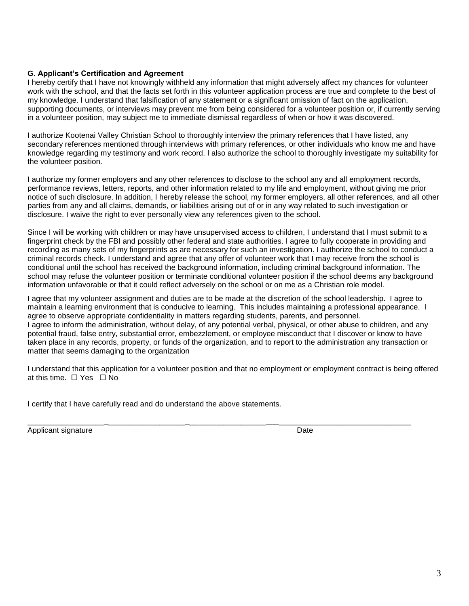## **G. Applicant's Certification and Agreement**

I hereby certify that I have not knowingly withheld any information that might adversely affect my chances for volunteer work with the school, and that the facts set forth in this volunteer application process are true and complete to the best of my knowledge. I understand that falsification of any statement or a significant omission of fact on the application, supporting documents, or interviews may prevent me from being considered for a volunteer position or, if currently serving in a volunteer position, may subject me to immediate dismissal regardless of when or how it was discovered.

I authorize Kootenai Valley Christian School to thoroughly interview the primary references that I have listed, any secondary references mentioned through interviews with primary references, or other individuals who know me and have knowledge regarding my testimony and work record. I also authorize the school to thoroughly investigate my suitability for the volunteer position.

I authorize my former employers and any other references to disclose to the school any and all employment records, performance reviews, letters, reports, and other information related to my life and employment, without giving me prior notice of such disclosure. In addition, I hereby release the school, my former employers, all other references, and all other parties from any and all claims, demands, or liabilities arising out of or in any way related to such investigation or disclosure. I waive the right to ever personally view any references given to the school.

Since I will be working with children or may have unsupervised access to children, I understand that I must submit to a fingerprint check by the FBI and possibly other federal and state authorities. I agree to fully cooperate in providing and recording as many sets of my fingerprints as are necessary for such an investigation. I authorize the school to conduct a criminal records check. I understand and agree that any offer of volunteer work that I may receive from the school is conditional until the school has received the background information, including criminal background information. The school may refuse the volunteer position or terminate conditional volunteer position if the school deems any background information unfavorable or that it could reflect adversely on the school or on me as a Christian role model.

I agree that my volunteer assignment and duties are to be made at the discretion of the school leadership. I agree to maintain a learning environment that is conducive to learning. This includes maintaining a professional appearance. I agree to observe appropriate confidentiality in matters regarding students, parents, and personnel. I agree to inform the administration, without delay, of any potential verbal, physical, or other abuse to children, and any potential fraud, false entry, substantial error, embezzlement, or employee misconduct that I discover or know to have taken place in any records, property, or funds of the organization, and to report to the administration any transaction or matter that seems damaging to the organization

I understand that this application for a volunteer position and that no employment or employment contract is being offered at this time.  $\Box$  Yes  $\Box$  No

\_\_\_\_\_\_\_\_\_\_\_\_\_\_\_\_\_\_**\_**\_\_\_\_\_\_\_\_\_\_\_\_\_\_\_\_\_\_**\_**\_\_\_\_\_\_\_\_\_\_\_\_\_\_\_\_\_\_**\_\_\_**\_\_\_\_\_\_\_\_\_\_\_\_\_\_\_\_\_\_\_\_\_\_\_\_\_\_\_\_\_\_\_

I certify that I have carefully read and do understand the above statements.

Applicant signature Date Controller and the Date Date Date Date Date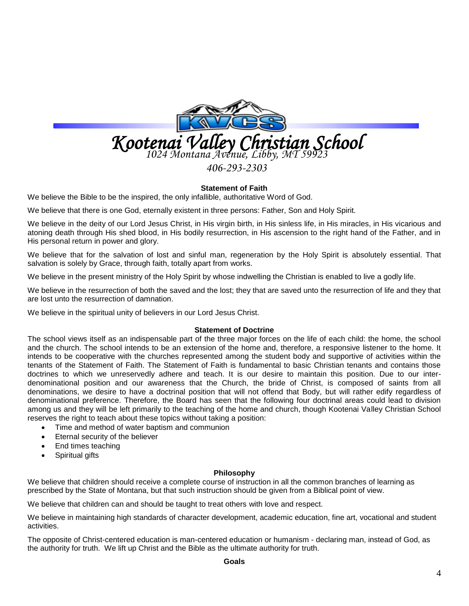

*406-293-2303*

## **Statement of Faith**

We believe the Bible to be the inspired, the only infallible, authoritative Word of God.

We believe that there is one God, eternally existent in three persons: Father, Son and Holy Spirit.

We believe in the deity of our Lord Jesus Christ, in His virgin birth, in His sinless life, in His miracles, in His vicarious and atoning death through His shed blood, in His bodily resurrection, in His ascension to the right hand of the Father, and in His personal return in power and glory.

We believe that for the salvation of lost and sinful man, regeneration by the Holy Spirit is absolutely essential. That salvation is solely by Grace, through faith, totally apart from works.

We believe in the present ministry of the Holy Spirit by whose indwelling the Christian is enabled to live a godly life.

We believe in the resurrection of both the saved and the lost; they that are saved unto the resurrection of life and they that are lost unto the resurrection of damnation.

We believe in the spiritual unity of believers in our Lord Jesus Christ.

## **Statement of Doctrine**

The school views itself as an indispensable part of the three major forces on the life of each child: the home, the school and the church. The school intends to be an extension of the home and, therefore, a responsive listener to the home. It intends to be cooperative with the churches represented among the student body and supportive of activities within the tenants of the Statement of Faith. The Statement of Faith is fundamental to basic Christian tenants and contains those doctrines to which we unreservedly adhere and teach. It is our desire to maintain this position. Due to our interdenominational position and our awareness that the Church, the bride of Christ, is composed of saints from all denominations, we desire to have a doctrinal position that will not offend that Body, but will rather edify regardless of denominational preference. Therefore, the Board has seen that the following four doctrinal areas could lead to division among us and they will be left primarily to the teaching of the home and church, though Kootenai Valley Christian School reserves the right to teach about these topics without taking a position:

- Time and method of water baptism and communion
- Eternal security of the believer
- End times teaching
- Spiritual gifts

#### **Philosophy**

We believe that children should receive a complete course of instruction in all the common branches of learning as prescribed by the State of Montana, but that such instruction should be given from a Biblical point of view.

We believe that children can and should be taught to treat others with love and respect.

We believe in maintaining high standards of character development, academic education, fine art, vocational and student activities.

The opposite of Christ-centered education is man-centered education or humanism - declaring man, instead of God, as the authority for truth. We lift up Christ and the Bible as the ultimate authority for truth.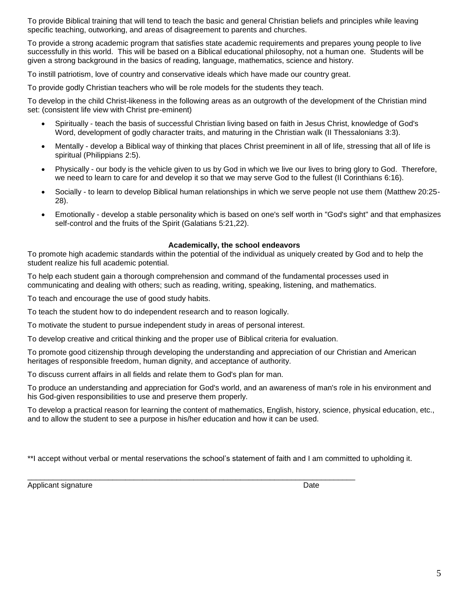To provide Biblical training that will tend to teach the basic and general Christian beliefs and principles while leaving specific teaching, outworking, and areas of disagreement to parents and churches.

To provide a strong academic program that satisfies state academic requirements and prepares young people to live successfully in this world. This will be based on a Biblical educational philosophy, not a human one. Students will be given a strong background in the basics of reading, language, mathematics, science and history.

To instill patriotism, love of country and conservative ideals which have made our country great.

To provide godly Christian teachers who will be role models for the students they teach.

To develop in the child Christ-likeness in the following areas as an outgrowth of the development of the Christian mind set: (consistent life view with Christ pre-eminent)

- Spiritually teach the basis of successful Christian living based on faith in Jesus Christ, knowledge of God's Word, development of godly character traits, and maturing in the Christian walk (II Thessalonians 3:3).
- Mentally develop a Biblical way of thinking that places Christ preeminent in all of life, stressing that all of life is spiritual (Philippians 2:5).
- Physically our body is the vehicle given to us by God in which we live our lives to bring glory to God. Therefore, we need to learn to care for and develop it so that we may serve God to the fullest (II Corinthians 6:16).
- Socially to learn to develop Biblical human relationships in which we serve people not use them (Matthew 20:25- 28).
- Emotionally develop a stable personality which is based on one's self worth in "God's sight" and that emphasizes self-control and the fruits of the Spirit (Galatians 5:21,22).

#### **Academically, the school endeavors**

To promote high academic standards within the potential of the individual as uniquely created by God and to help the student realize his full academic potential.

To help each student gain a thorough comprehension and command of the fundamental processes used in communicating and dealing with others; such as reading, writing, speaking, listening, and mathematics.

To teach and encourage the use of good study habits.

To teach the student how to do independent research and to reason logically.

To motivate the student to pursue independent study in areas of personal interest.

To develop creative and critical thinking and the proper use of Biblical criteria for evaluation.

To promote good citizenship through developing the understanding and appreciation of our Christian and American heritages of responsible freedom, human dignity, and acceptance of authority.

To discuss current affairs in all fields and relate them to God's plan for man.

To produce an understanding and appreciation for God's world, and an awareness of man's role in his environment and his God-given responsibilities to use and preserve them properly.

To develop a practical reason for learning the content of mathematics, English, history, science, physical education, etc., and to allow the student to see a purpose in his/her education and how it can be used.

\*\*I accept without verbal or mental reservations the school's statement of faith and I am committed to upholding it.

\_\_\_\_\_\_\_\_\_\_\_\_\_\_\_\_\_\_\_\_\_\_\_\_\_\_\_\_\_\_\_\_\_\_\_\_\_\_\_\_\_\_\_\_\_\_\_\_\_\_\_\_\_\_\_\_\_\_\_\_\_\_\_\_\_\_\_\_\_\_\_\_\_\_\_\_\_

Applicant signature Date Controller and the Date Date Date Date Date Date Date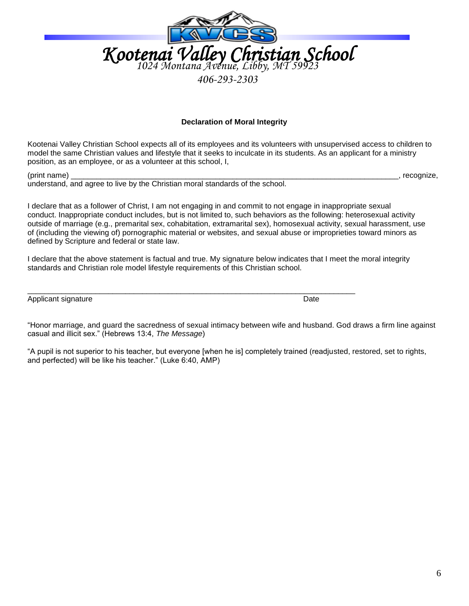

*406-293-2303*

## **Declaration of Moral Integrity**

Kootenai Valley Christian School expects all of its employees and its volunteers with unsupervised access to children to model the same Christian values and lifestyle that it seeks to inculcate in its students. As an applicant for a ministry position, as an employee, or as a volunteer at this school, I,

(print name) \_\_\_\_\_\_\_\_\_\_\_\_\_\_\_\_\_\_\_\_\_\_\_\_\_\_\_\_\_\_\_\_\_\_\_\_\_\_\_\_\_\_\_\_\_\_\_\_\_\_\_\_\_\_\_\_\_\_\_\_\_\_\_\_\_\_\_\_\_\_\_\_\_\_\_\_\_, recognize, understand, and agree to live by the Christian moral standards of the school.

I declare that as a follower of Christ, I am not engaging in and commit to not engage in inappropriate sexual conduct. Inappropriate conduct includes, but is not limited to, such behaviors as the following: heterosexual activity outside of marriage (e.g., premarital sex, cohabitation, extramarital sex), homosexual activity, sexual harassment, use of (including the viewing of) pornographic material or websites, and sexual abuse or improprieties toward minors as defined by Scripture and federal or state law.

I declare that the above statement is factual and true. My signature below indicates that I meet the moral integrity standards and Christian role model lifestyle requirements of this Christian school.

\_\_\_\_\_\_\_\_\_\_\_\_\_\_\_\_\_\_\_\_\_\_\_\_\_\_\_\_\_\_\_\_\_\_\_\_\_\_\_\_\_\_\_\_\_\_\_\_\_\_\_\_\_\_\_\_\_\_\_\_\_\_\_\_\_\_\_\_\_\_\_\_\_\_\_\_\_

Applicant signature Date

"Honor marriage, and guard the sacredness of sexual intimacy between wife and husband. God draws a firm line against casual and illicit sex." (Hebrews 13:4, *The Message*)

"A pupil is not superior to his teacher, but everyone [when he is] completely trained (readjusted, restored, set to rights, and perfected) will be like his teacher." (Luke 6:40, AMP)